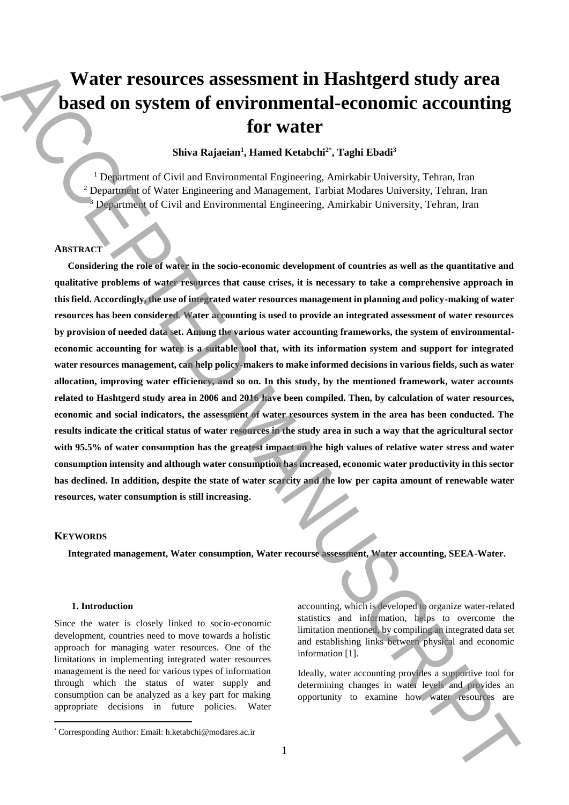# **Water resources assessment in Hashtgerd study area based on system of environmental-economic accounting for water**

# **Shiva Rajaeian<sup>1</sup> , Hamed Ketabchi<sup>2</sup>**\* **, Taghi Ebadi<sup>3</sup>**

<sup>1</sup> Department of Civil and Environmental Engineering, Amirkabir University, Tehran, Iran <sup>2</sup> Department of Water Engineering and Management, Tarbiat Modares University, Tehran, Iran <sup>3</sup> Department of Civil and Environmental Engineering, Amirkabir University, Tehran, Iran

## **ABSTRACT**

**Considering the role of water in the socio-economic development of countries as well as the quantitative and qualitative problems of water resources that cause crises, it is necessary to take a comprehensive approach in this field. Accordingly, the use of integrated water resources management in planning and policy-making of water resources has been considered. Water accounting is used to provide an integrated assessment of water resources by provision of needed data set. Among the various water accounting frameworks, the system of environmentaleconomic accounting for water is a suitable tool that, with its information system and support for integrated water resources management, can help policy-makers to make informed decisions in various fields, such as water allocation, improving water efficiency, and so on. In this study, by the mentioned framework, water accounts related to Hashtgerd study area in 2006 and 2016 have been compiled. Then, by calculation of water resources, economic and social indicators, the assessment of water resources system in the area has been conducted. The results indicate the critical status of water resources in the study area in such a way that the agricultural sector with 95.5% of water consumption has the greatest impact on the high values of relative water stress and water consumption intensity and although water consumption has increased, economic water productivity in this sector has declined. In addition, despite the state of water scarcity and the low per capita amount of renewable water resources, water consumption is still increasing. Video resources are sessment in Hashlugerd study area<br>
based on system of environmental-economic accounting<br>
for water**  $\frac{1}{2}$  **form and the studies of Cel and Foreign and Manuscript, a relationship because Fourth Inter** 

## **KEYWORDS**

 $\overline{a}$ 

**Integrated management, Water consumption, Water recourse assessment, Water accounting, SEEA-Water.** 

#### **1. Introduction**

Since the water is closely linked to socio-economic development, countries need to move towards a holistic approach for managing water resources. One of the limitations in implementing integrated water resources management is the need for various types of information through which the status of water supply and consumption can be analyzed as a key part for making appropriate decisions in future policies. Water accounting, which is developed to organize water-related statistics and information, helps to overcome the limitation mentioned, by compiling an integrated data set and establishing links between physical and economic information [1].

Ideally, water accounting provides a supportive tool for determining changes in water levels and provides an

<sup>\*</sup> Corresponding Author: Email: h.ketabchi@modares.ac.ir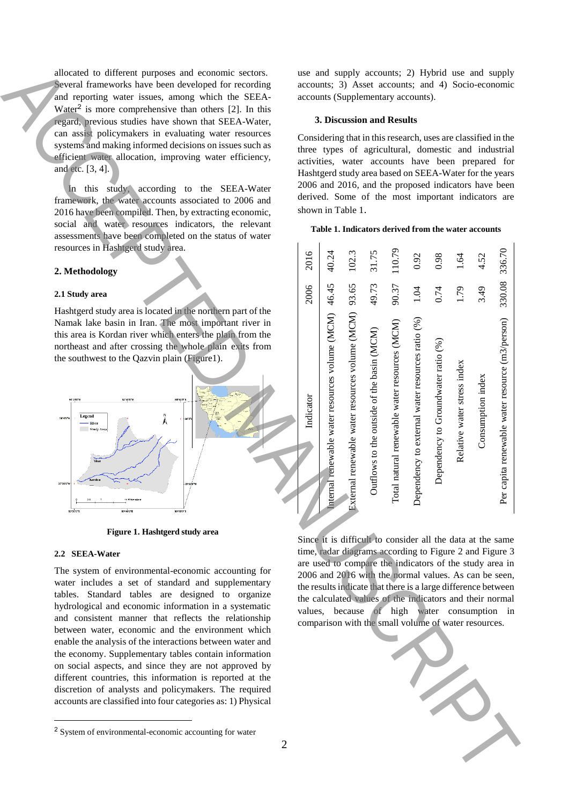## **2. Methodology**

#### **2.1 Study area**



**Figure 1. Hashtgerd study area**

## **2.2 SEEA-Water**

#### **3. Discussion and Results**

#### **Table 1. Indicators derived from the water accounts**

| allocated to different purposes and economic sectors.<br>Several frameworks have been developed for recording<br>and reporting water issues, among which the SEEA-<br>Water <sup>2</sup> is more comprehensive than others $[2]$ . In this                                                                                                                                                                                                                                                                                                                                                                                                                                                                                                                                                      | use and supply accounts; 2) Hybrid use and supply<br>accounts; 3) Asset accounts; and 4) Socio-economic<br>accounts (Supplementary accounts).                                                                                                                                                                                                                                                                                                                                  |                                             |                                             |                                            |                                              |                                                |                                     |                             |                   |                                                  |  |
|-------------------------------------------------------------------------------------------------------------------------------------------------------------------------------------------------------------------------------------------------------------------------------------------------------------------------------------------------------------------------------------------------------------------------------------------------------------------------------------------------------------------------------------------------------------------------------------------------------------------------------------------------------------------------------------------------------------------------------------------------------------------------------------------------|--------------------------------------------------------------------------------------------------------------------------------------------------------------------------------------------------------------------------------------------------------------------------------------------------------------------------------------------------------------------------------------------------------------------------------------------------------------------------------|---------------------------------------------|---------------------------------------------|--------------------------------------------|----------------------------------------------|------------------------------------------------|-------------------------------------|-----------------------------|-------------------|--------------------------------------------------|--|
| regard, previous studies have shown that SEEA-Water,                                                                                                                                                                                                                                                                                                                                                                                                                                                                                                                                                                                                                                                                                                                                            | 3. Discussion and Results                                                                                                                                                                                                                                                                                                                                                                                                                                                      |                                             |                                             |                                            |                                              |                                                |                                     |                             |                   |                                                  |  |
| can assist policymakers in evaluating water resources<br>systems and making informed decisions on issues such as<br>efficient water allocation, improving water efficiency,<br>and etc. [3, 4].<br>In this study, according to the SEEA-Water<br>framework, the water accounts associated to 2006 and<br>2016 have been compiled. Then, by extracting economic,<br>social and water resources indicators, the relevant<br>assessments have been completed on the status of water                                                                                                                                                                                                                                                                                                                | Considering that in this research, uses are classified in the<br>three types of agricultural, domestic and industrial<br>activities, water accounts have been prepared for<br>Hashtgerd study area based on SEEA-Water for the years<br>2006 and 2016, and the proposed indicators have been<br>derived. Some of the most important indicators are<br>shown in Table 1.<br>Table 1. Indicators derived from the water accounts                                                 |                                             |                                             |                                            |                                              |                                                |                                     |                             |                   |                                                  |  |
| resources in Hashtgerd study area.<br>2. Methodology                                                                                                                                                                                                                                                                                                                                                                                                                                                                                                                                                                                                                                                                                                                                            | 2016                                                                                                                                                                                                                                                                                                                                                                                                                                                                           | 40.24                                       | 102.3                                       | 31.75                                      | 110.79                                       | 0.92                                           | 0.98                                | 1.64                        | 4.52              | 336.70                                           |  |
| 2.1 Study area                                                                                                                                                                                                                                                                                                                                                                                                                                                                                                                                                                                                                                                                                                                                                                                  | 2006                                                                                                                                                                                                                                                                                                                                                                                                                                                                           | 46.45                                       | 93.65                                       | 49.73                                      | 90.37                                        | 1.04                                           | 0.74                                | 1.79                        | 3.49              | 330.08                                           |  |
| Hashtgerd study area is located in the northern part of the<br>Namak lake basin in Iran. The most important river in<br>this area is Kordan river which enters the plain from the<br>northeast and after crossing the whole plain exits from<br>the southwest to the Qazvin plain (Figure1).                                                                                                                                                                                                                                                                                                                                                                                                                                                                                                    |                                                                                                                                                                                                                                                                                                                                                                                                                                                                                |                                             |                                             |                                            |                                              |                                                |                                     |                             |                   |                                                  |  |
| 501461016<br>50°50'0"<br>50130001<br>Ä<br>Legend<br>38'0'0"<br>- River<br>Study Area<br>35'50'0"<br>50°40'0"E<br>sor-sarone<br>50°30'0"1                                                                                                                                                                                                                                                                                                                                                                                                                                                                                                                                                                                                                                                        | Indicator                                                                                                                                                                                                                                                                                                                                                                                                                                                                      | rnal renewable water resources volume (MCM) | rnal renewable water resources volume (MCM) | Outflows to the outside of the basin (MCM) | otal natural renewable water resources (MCM) | pendency to external water resources ratio (%) | Dependency to Groundwater ratio (%) | Relative water stress index | Consumption index | capita renewable water resource (m3/person)<br>ድ |  |
| Figure 1. Hashtgerd study area                                                                                                                                                                                                                                                                                                                                                                                                                                                                                                                                                                                                                                                                                                                                                                  |                                                                                                                                                                                                                                                                                                                                                                                                                                                                                |                                             |                                             |                                            |                                              |                                                |                                     |                             |                   |                                                  |  |
| 2.2 SEEA-Water<br>The system of environmental-economic accounting for<br>water includes a set of standard and supplementary<br>tables. Standard tables are designed to organize<br>hydrological and economic information in a systematic<br>and consistent manner that reflects the relationship<br>between water, economic and the environment which<br>enable the analysis of the interactions between water and<br>the economy. Supplementary tables contain information<br>on social aspects, and since they are not approved by<br>different countries, this information is reported at the<br>discretion of analysts and policymakers. The required<br>accounts are classified into four categories as: 1) Physical<br><sup>2</sup> System of environmental-economic accounting for water | Since it is difficult to consider all the data at the same<br>time, radar diagrams according to Figure 2 and Figure 3<br>are used to compare the indicators of the study area in<br>2006 and 2016 with the normal values. As can be seen,<br>the results indicate that there is a large difference between<br>the calculated values of the indicators and their normal<br>values, because of high water consumption in<br>comparison with the small volume of water resources. |                                             |                                             |                                            |                                              |                                                |                                     |                             |                   |                                                  |  |
| 2                                                                                                                                                                                                                                                                                                                                                                                                                                                                                                                                                                                                                                                                                                                                                                                               |                                                                                                                                                                                                                                                                                                                                                                                                                                                                                |                                             |                                             |                                            |                                              |                                                |                                     |                             |                   |                                                  |  |
|                                                                                                                                                                                                                                                                                                                                                                                                                                                                                                                                                                                                                                                                                                                                                                                                 |                                                                                                                                                                                                                                                                                                                                                                                                                                                                                |                                             |                                             |                                            |                                              |                                                |                                     |                             |                   |                                                  |  |



<sup>2</sup> System of environmental-economic accounting for water